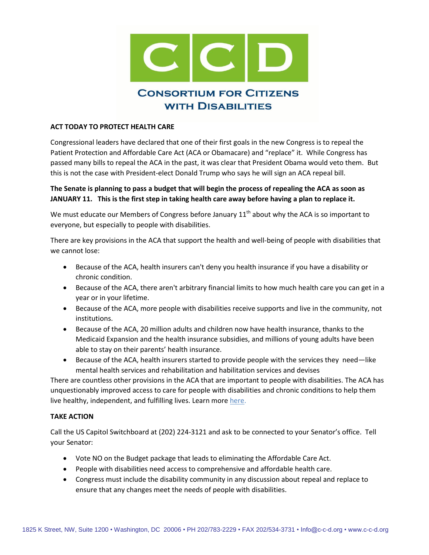

## **ACT TODAY TO PROTECT HEALTH CARE**

Congressional leaders have declared that one of their first goals in the new Congress is to repeal the Patient Protection and Affordable Care Act (ACA or Obamacare) and "replace" it. While Congress has passed many bills to repeal the ACA in the past, it was clear that President Obama would veto them. But this is not the case with President-elect Donald Trump who says he will sign an ACA repeal bill.

## **The Senate is planning to pass a budget that will begin the process of repealing the ACA as soon as JANUARY 11. This is the first step in taking health care away before having a plan to replace it.**

We must educate our Members of Congress before January  $11<sup>th</sup>$  about why the ACA is so important to everyone, but especially to people with disabilities.

There are key provisions in the ACA that support the health and well-being of people with disabilities that we cannot lose:

- Because of the ACA, health insurers can't deny you health insurance if you have a disability or chronic condition.
- Because of the ACA, there aren't arbitrary financial limits to how much health care you can get in a year or in your lifetime.
- Because of the ACA, more people with disabilities receive supports and live in the community, not institutions.
- Because of the ACA, 20 million adults and children now have health insurance, thanks to the Medicaid Expansion and the health insurance subsidies, and millions of young adults have been able to stay on their parents' health insurance.
- Because of the ACA, health insurers started to provide people with the services they need—like mental health services and rehabilitation and habilitation services and devises

There are countless other provisions in the ACA that are important to people with disabilities. The ACA has unquestionably improved access to care for people with disabilities and chronic conditions to help them live healthy, independent, and fulfilling lives. Learn more [here.](http://c-c-d.org/fichiers/CCD-FactSheet-on-ACA_12-5-16_Final.pdf)

## **TAKE ACTION**

Call the US Capitol Switchboard at (202) 224-3121 and ask to be connected to your Senator's office. Tell your Senator:

- Vote NO on the Budget package that leads to eliminating the Affordable Care Act.
- People with disabilities need access to comprehensive and affordable health care.
- Congress must include the disability community in any discussion about repeal and replace to ensure that any changes meet the needs of people with disabilities.